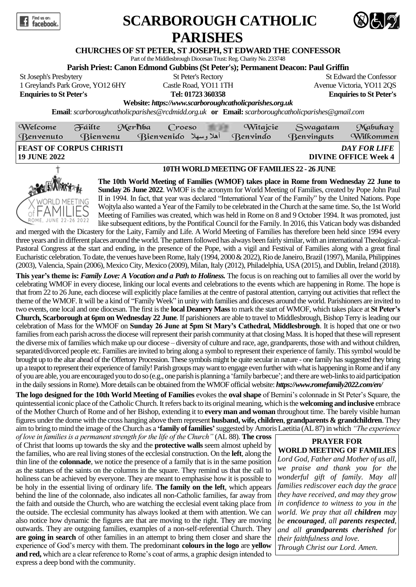

## **SCARBOROUGH CATHOLIC PARISHES**



## **CHURCHES OF ST PETER, ST JOSEPH, ST EDWARD THE CONFESSOR**

Part of the Middlesbrough Diocesan Trust: Reg. Charity No. 233748

**Parish Priest: Canon Edmond Gubbins (St Peter's); Permanent Deacon: Paul Griffin**

St Joseph's Presbytery St Peter's Rectory St Peter's Rectory St Edward the Confessor **Enquiries to St Peter's Tel: 01723 360358 Enquiries to St Peter's**

1 Greyland's Park Grove, YO12 6HY Castle Road, YO11 1TH Avenue Victoria, YO11 2QS

**Website:** *https://www.scarboroughcatholicparishes.org.uk*

**Email**:*scarboroughcatholicparishes@rcdmidd.org.uk.* **or. Email:***[scarboroughcatholicparishes@gmail.com](file:///C:/D:/uploadedFiles/45b2155a9ebf3758f3870cc93cb90-ae338b72753226c2/HYPERLINK)* 

| Welcome<br><b>Benvenuto</b>                           | Fáilte<br><b>Bienvenu</b> | Merhba | $C$ roeso<br><b>Bienvenido</b> اهلا وسهلا |  | Witajcie<br><b>Benvindo</b> | Swagatam<br><b>Benvinguts</b> | Mabuhay<br>Wilkommen                        |
|-------------------------------------------------------|---------------------------|--------|-------------------------------------------|--|-----------------------------|-------------------------------|---------------------------------------------|
| <b>FEAST OF CORPUS CHRISTI</b><br><b>19 JUNE 2022</b> |                           |        |                                           |  |                             |                               | DAY FOR LIFE<br><b>DIVINE OFFICE Week 4</b> |
|                                                       |                           |        |                                           |  |                             |                               |                                             |



## **10TH WORLD MEETING OF FAMILIES 22 - 26 JUNE**

**The 10th World Meeting of Families (WMOF) takes place in Rome from Wednesday 22 June to Sunday 26 June 2022**. WMOF is the acronym for World Meeting of Families, created by Pope John Paul II in 1994. In fact, that year was declared "International Year of the Family" by the United Nations. Pope Wojtyla also wanted a Year of the Family to be celebrated in the Church at the same time. So, the 1st World Meeting of Families was created, which was held in Rome on 8 and 9 October 1994. It was promoted, just like subsequent editions, by the Pontifical Council for the Family. In 2016, this Vatican body was disbanded

and merged with the Dicastery for the Laity, Family and Life. A World Meeting of Families has therefore been held since 1994 every three years and in different places around the world. The pattern followed has always been fairly similar, with an international Theological-Pastoral Congress at the start and ending, in the presence of the Pope, with a vigil and Festival of Families along with a great final Eucharistic celebration. To date, the venues have been Rome, Italy (1994, 2000 & 2022), Rio de Janeiro, Brazil (1997), Manila, Philippines (2003), Valencia, Spain (2006), Mexico City, Mexico (2009), Milan, Italy (2012), Philadelphia, USA (2015), and Dublin, Ireland (2018).

**This year's theme is:** *Family Love: A Vocation and a Path to Holiness.* The focus is on reaching out to families all over the world by celebrating WMOF in every diocese, linking our local events and celebrations to the events which are happening in Rome. The hope is that from 22 to 26 June, each diocese will explicitly place families at the centre of pastoral attention, carrying out activities that reflect the theme of the WMOF. It will be a kind of "Family Week" in unity with families and dioceses around the world. Parishioners are invited to two events, one local and one diocesan. The first is the **local Deanery Mass**to mark the start of WMOF, which takes place at **St Peter's Church, Scarborough at 6pm on Wednesday 22 June**. If parishioners are able to travel to Middlesbrough, Bishop Terry is leading our celebration of Mass for the WMOF on **Sunday 26 June at 5pm St Mary's Cathedral, Middlesbrough**. It is hoped that one or two families from each parish across the diocese will represent their parish community at that closing Mass. It is hoped that these will represent the diverse mix of families which make up our diocese – diversity of culture and race, age, grandparents, those with and without children, separated/divorced people etc. Families are invited to bring along a symbol to represent their experience of family. This symbol would be brought up to the altar ahead of the Offertory Procession. These symbols might be quite secular in nature - one family has suggested they bring up a teapot to represent their experience of family! Parish groups may want to engage even further with what is happening in Rome and if any of you are able, you are encouragedyou to do so (e.g., one parish is planning a 'family barbecue'; and there are web-links to aid participation in the daily sessions in Rome). More details can be obtained from the WMOF official website: *https://www.romefamily2022.com/en/*

**The logo designed for the 10th World Meeting of Families** evokes the **oval shape** of Bernini's colonnade in St Peter's Square, the quintessential iconic place of the Catholic Church. It refers back to its original meaning, which is the **welcoming and inclusive** embrace of the Mother Church of Rome and of her Bishop, extending it to **every man and woman** throughout time. The barely visible human figures under the dome with the cross hanging above them represent **husband, wife, children**, **grandparents & grandchildren**. They aim to bring to mind the image of the Church as a **'family of families'**suggested by Amoris Laetitia (AL 87) in which *"The experience* 

*of love in families is a permanent strength for the life of the Church"* (AL 88). **The cross** of Christ that looms up towards the sky and the **protective walls** seem almost upheld by the families, who are real living stones of the ecclesial construction. On the **left**, along the thin line of the **colonnade**, we notice the presence of a family that is in the same position as the statues of the saints on the columns in the square. They remind us that the call to holiness can be achieved by everyone. They are meant to emphasise how it is possible to be holy in the essential living of ordinary life. **The family on the left**, which appears behind the line of the colonnade, also indicates all non-Catholic families, far away from the faith and outside the Church, who are watching the ecclesial event taking place from the outside. The ecclesial community has always looked at them with attention. We can also notice how dynamic the figures are that are moving to the right. They are moving outwards. They are outgoing families, examples of a non-self-referential Church. They **are going in search** of other families in an attempt to bring them closer and share the experience of God's mercy with them. The predominant **colours in the logo** are **yellow and red,** which are a clear reference to Rome's coat of arms, a graphic design intended to express a deep bond with the community.

## **PRAYER FOR WORLD MEETING OF FAMILIES**

*Lord God, Father and Mother of us all, we praise and thank you for the wonderful gift of family. May all families rediscover each day the grace they have received, and may they grow in confidence to witness to you in the world. We pray that all children may be encouraged, all parents respected, and all grandparents cherished for their faithfulness and love. Through Christ our Lord. Amen.*